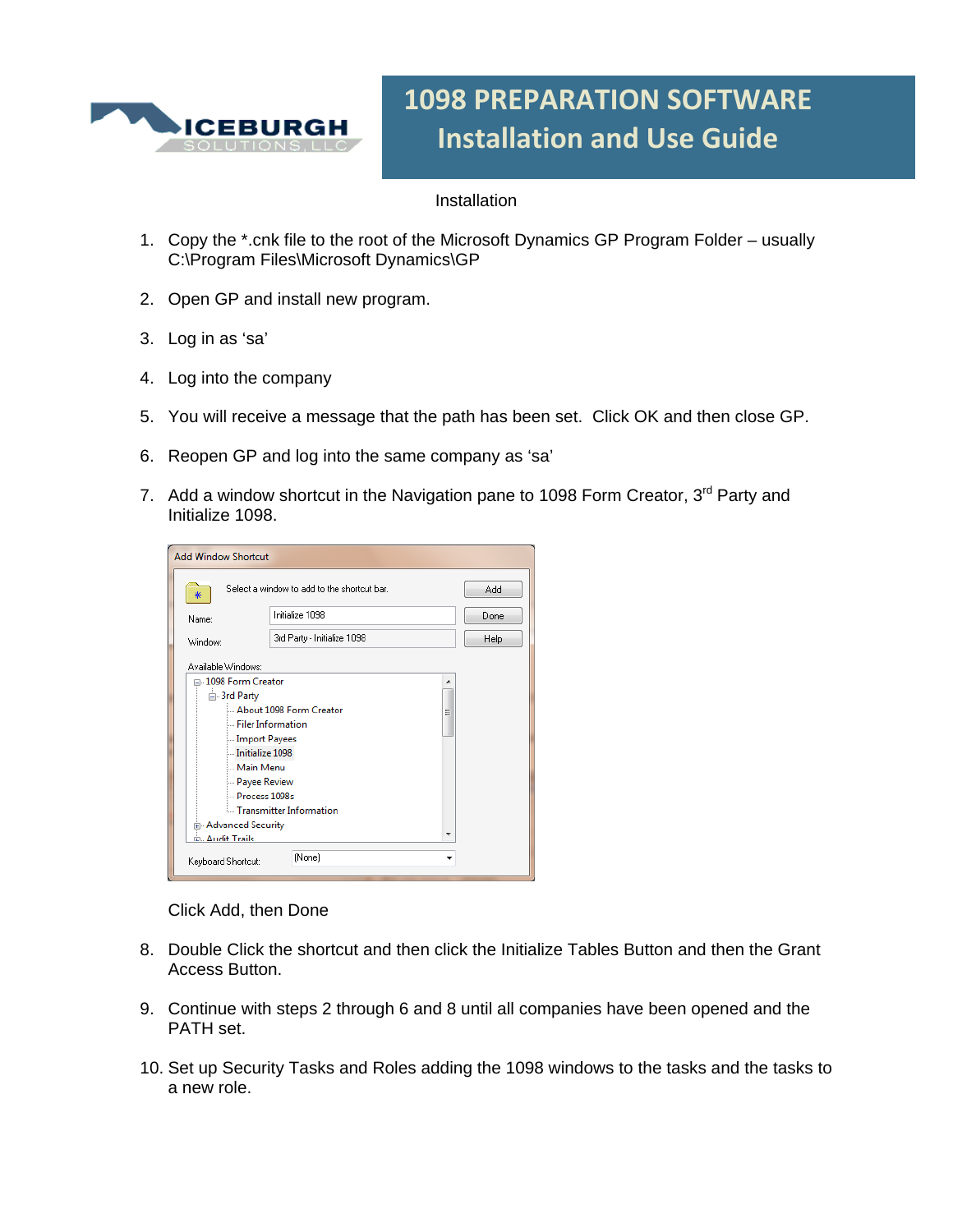

## **1098 PREPARATION SOFTWARE Installation and Use Guide**

## **Installation**

- 1. Copy the \*.cnk file to the root of the Microsoft Dynamics GP Program Folder usually C:\Program Files\Microsoft Dynamics\GP
- 2. Open GP and install new program.
- 3. Log in as 'sa'
- 4. Log into the company
- 5. You will receive a message that the path has been set. Click OK and then close GP.
- 6. Reopen GP and log into the same company as 'sa'
- 7. Add a window shortcut in the Navigation pane to 1098 Form Creator,  $3<sup>rd</sup>$  Party and Initialize 1098.

| <b>Add Window Shortcut</b>                       |                             |   |      |  |  |  |  |
|--------------------------------------------------|-----------------------------|---|------|--|--|--|--|
| Select a window to add to the shortcut bar.<br>₩ | Add                         |   |      |  |  |  |  |
| Name:                                            | Initialize 1098             |   | Done |  |  |  |  |
| Window:                                          | 3rd Party - Initialize 1098 |   | Help |  |  |  |  |
| Available Windows:                               |                             |   |      |  |  |  |  |
| □ 1098 Form Creator                              |                             |   |      |  |  |  |  |
| <b>E</b> -3rd Party                              |                             |   |      |  |  |  |  |
|                                                  | About 1098 Form Creator     | Ξ |      |  |  |  |  |
| Filer Information                                |                             |   |      |  |  |  |  |
| Import Payees                                    |                             |   |      |  |  |  |  |
| Initialize 1098                                  |                             |   |      |  |  |  |  |
| Main Menu                                        |                             |   |      |  |  |  |  |
| <b>Payee Review</b>                              |                             |   |      |  |  |  |  |
| Process 1098s                                    |                             |   |      |  |  |  |  |
|                                                  | Transmitter Information     |   |      |  |  |  |  |
| 由 Advanced Security                              |                             |   |      |  |  |  |  |
| ώ Δudit Traile                                   |                             |   |      |  |  |  |  |
| Keyboard Shortcut:                               | (None)                      |   |      |  |  |  |  |

Click Add, then Done

- 8. Double Click the shortcut and then click the Initialize Tables Button and then the Grant Access Button.
- 9. Continue with steps 2 through 6 and 8 until all companies have been opened and the PATH set.
- 10. Set up Security Tasks and Roles adding the 1098 windows to the tasks and the tasks to a new role.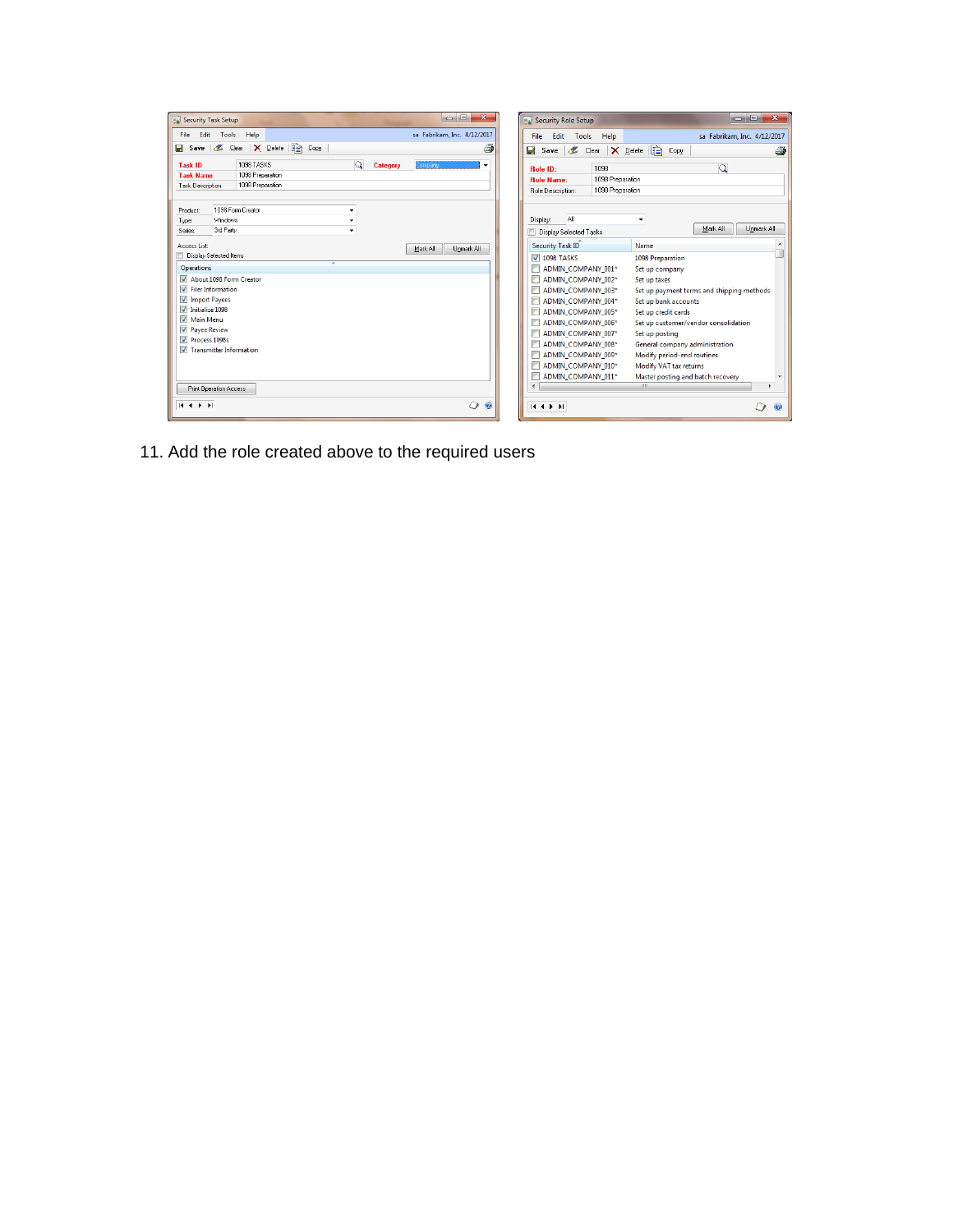| $\begin{array}{c c c c c} \hline \multicolumn{1}{c }{\mathbf{B}} & \multicolumn{1}{c }{\mathbf{X}} \\\hline \multicolumn{1}{c }{\mathbf{A}} & \multicolumn{1}{c }{\mathbf{B}} & \multicolumn{1}{c }{\mathbf{X}} \\\hline \multicolumn{1}{c }{\mathbf{A}} & \multicolumn{1}{c }{\mathbf{B}} & \multicolumn{1}{c }{\mathbf{A}} \\\hline \multicolumn{1}{c }{\mathbf{A}} & \multicolumn{1}{c }{\mathbf{A}} & \multicolumn{1}{c }{\mathbf{A}} \\\hline \multic$<br>Security Task Setup | <b>Louis</b><br>$\overline{\mathbf{x}}$<br>Security Role Setup                                                                                              |
|------------------------------------------------------------------------------------------------------------------------------------------------------------------------------------------------------------------------------------------------------------------------------------------------------------------------------------------------------------------------------------------------------------------------------------------------------------------------------------|-------------------------------------------------------------------------------------------------------------------------------------------------------------|
| File Edit Tools<br>sa Fabrikam, Inc. 4/12/2017<br>Help                                                                                                                                                                                                                                                                                                                                                                                                                             | Edit Tools<br>sa Fabrikam, Inc. 4/12/2017<br>Help<br>File                                                                                                   |
| X Delete   a Copy<br>Lear<br>$\Box$ Save<br>Æ                                                                                                                                                                                                                                                                                                                                                                                                                                      | id.<br>Save & Clear<br>П<br>$\mathsf{X}$ Delete<br>Copy<br>与                                                                                                |
| $\Omega$<br>1098 TASKS<br><b>Task ID</b><br>Category<br>Company<br>1098 Preparation<br><b>Task Name</b>                                                                                                                                                                                                                                                                                                                                                                            | $\Omega$<br>1098<br><b>Bole ID:</b>                                                                                                                         |
| 1098 Preparation<br>Task Description                                                                                                                                                                                                                                                                                                                                                                                                                                               | 1098 Preparation<br><b>Bole Name:</b><br>1098 Preparation<br>Role Description:                                                                              |
| 1098 Form Creator<br><b>Product:</b><br>Windows<br>Type:<br>3rd Party<br>Series:                                                                                                                                                                                                                                                                                                                                                                                                   | All<br>Display:<br>۰<br>Mark All<br>Unmark All<br>Display Selected Tasks                                                                                    |
| Access List:<br>Mark All<br>Unmark All<br><b>Display Selected Items</b><br>z                                                                                                                                                                                                                                                                                                                                                                                                       | Security Task ID<br>Name<br><b>V</b> 1098 TASKS<br><b>1098 Preparation</b>                                                                                  |
| <b>Operations</b><br>About 1098 Form Creator<br>$\triangledown$ Filer Information                                                                                                                                                                                                                                                                                                                                                                                                  | ADMIN COMPANY 001*<br>Set up company<br>ADMIN COMPANY 002*<br>Set up taxes<br>ADMIN COMPANY 003*<br>Set up payment terms and shipping methods               |
| <b>V</b> Import Payees<br>Initialize 1098<br>Main Menu                                                                                                                                                                                                                                                                                                                                                                                                                             | ADMIN COMPANY 004*<br>Set up bank accounts<br>ADMIN COMPANY 005*<br>Set up credit cards<br>ADMIN COMPANY 006*<br>Set up customer/vendor consolidation       |
| <b>7</b> Payee Review<br>Process 1098s                                                                                                                                                                                                                                                                                                                                                                                                                                             | ADMIN_COMPANY_007*<br>Set up posting<br>ADMIN COMPANY 008*<br>General company administration                                                                |
| Transmitter Information                                                                                                                                                                                                                                                                                                                                                                                                                                                            | ADMIN COMPANY 009*<br>Modify period-end routines<br>ADMIN COMPANY 010*<br>Modify VAT tax returns<br>ADMIN COMPANY 011*<br>Master posting and batch recovery |
| <b>Print Operation Access</b>                                                                                                                                                                                                                                                                                                                                                                                                                                                      | m.                                                                                                                                                          |
| O <sub>o</sub><br>$H \leftarrow F$                                                                                                                                                                                                                                                                                                                                                                                                                                                 | <b>K 4 3 31</b><br>6                                                                                                                                        |

11. Add the role created above to the required users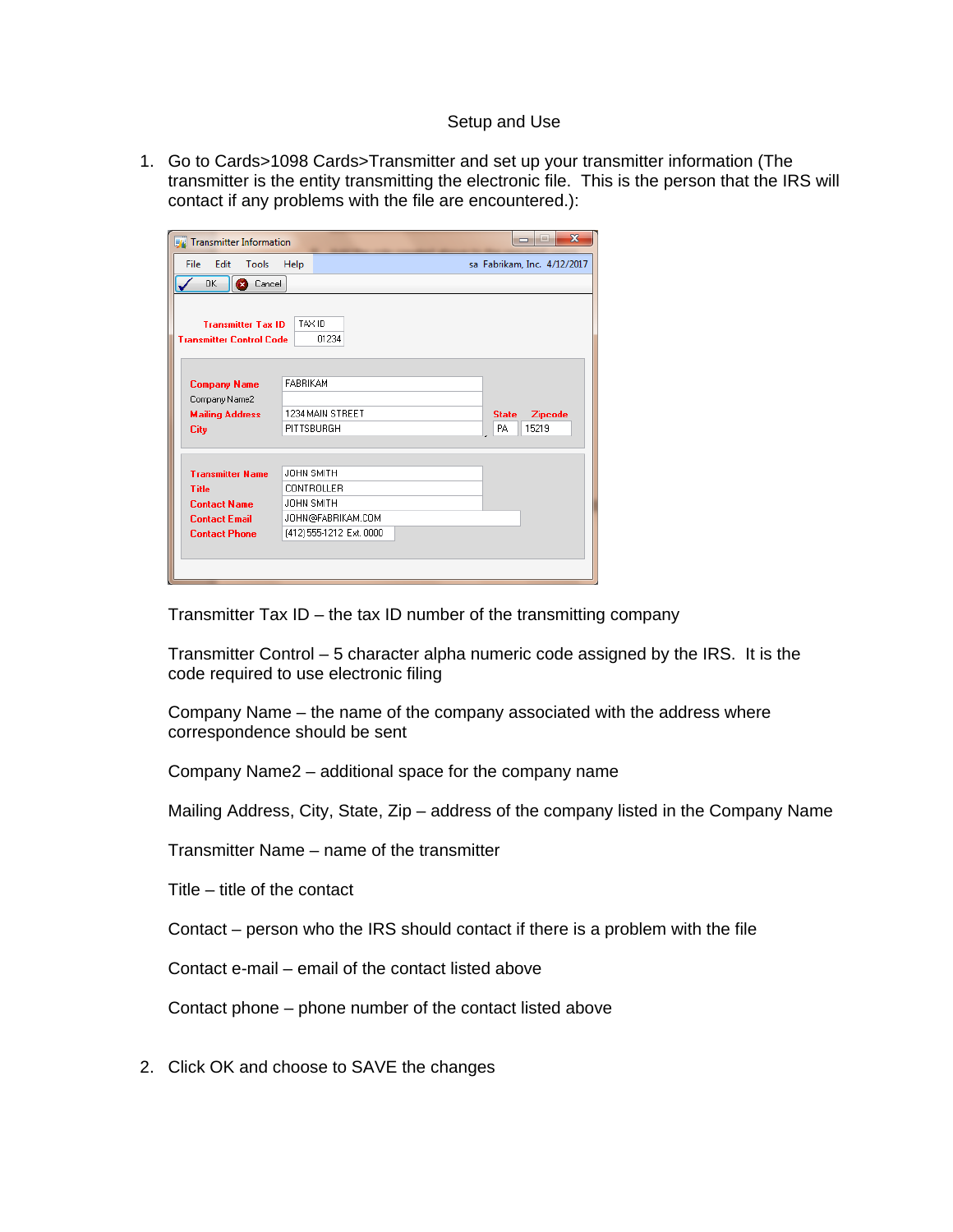## Setup and Use

1. Go to Cards>1098 Cards>Transmitter and set up your transmitter information (The transmitter is the entity transmitting the electronic file. This is the person that the IRS will contact if any problems with the file are encountered.):

| <b>Fo</b> Transmitter Information                              |                 | $\overline{\mathbf{x}}$<br><b>DIE</b>         |
|----------------------------------------------------------------|-----------------|-----------------------------------------------|
| Edit<br>File<br>Tools                                          | Help            | sa Fabrikam, Inc. 4/12/2017                   |
| OK.<br>Cancel<br>ø                                             |                 |                                               |
| <b>Transmitter Tax ID</b><br><b>Transmitter Control Code</b>   | TAX ID          | 01234                                         |
| <b>Company Name</b><br>Company Name2<br><b>Mailing Address</b> | <b>FABRIKAM</b> | 1234 MAIN STREET<br>Zipcode<br><b>State</b>   |
| <b>City</b>                                                    | PITTSBURGH      | 15219<br>PA                                   |
| <b>Transmitter Name</b>                                        | JOHN SMITH      |                                               |
| <b>Title</b><br><b>Contact Name</b>                            | JOHN SMITH      | <b>CONTROLLER</b>                             |
| <b>Contact Email</b><br><b>Contact Phone</b>                   |                 | JOHN@FABRIKAM.COM<br>(412) 555-1212 Ext. 0000 |
|                                                                |                 |                                               |

Transmitter Tax ID – the tax ID number of the transmitting company

Transmitter Control – 5 character alpha numeric code assigned by the IRS. It is the code required to use electronic filing

Company Name – the name of the company associated with the address where correspondence should be sent

Company Name2 – additional space for the company name

Mailing Address, City, State, Zip – address of the company listed in the Company Name

Transmitter Name – name of the transmitter

Title – title of the contact

Contact – person who the IRS should contact if there is a problem with the file

Contact e-mail – email of the contact listed above

Contact phone – phone number of the contact listed above

2. Click OK and choose to SAVE the changes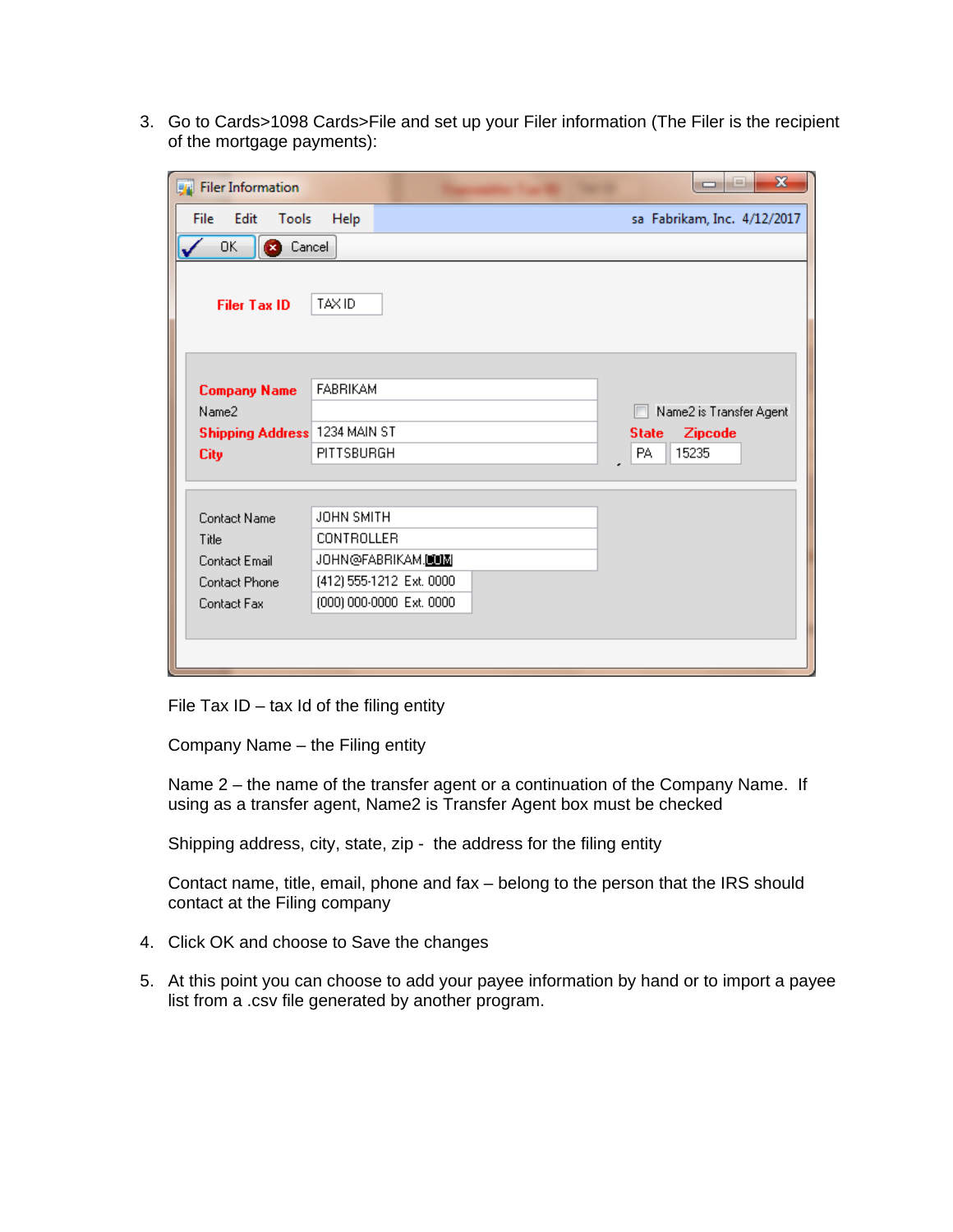3. Go to Cards>1098 Cards>File and set up your Filer information (The Filer is the recipient of the mortgage payments):

| <b>Filer</b> Information                                                      |                                                                                                              | $\mathbf x$<br>اء ار ص                         |
|-------------------------------------------------------------------------------|--------------------------------------------------------------------------------------------------------------|------------------------------------------------|
| File<br>Edit<br>Tools                                                         | Help                                                                                                         | sa Fabrikam, Inc. 4/12/2017                    |
| OK.<br><b>3</b> Cancel                                                        |                                                                                                              |                                                |
| <b>Filer Tax ID</b>                                                           | TAX ID                                                                                                       |                                                |
| <b>Company Name</b><br>Name2                                                  | <b>FABRIKAM</b>                                                                                              | Name2 is Transfer Agent.                       |
| Shipping Address 1234 MAIN ST<br><b>City</b>                                  | PITTSBURGH                                                                                                   | <b>Zipcode</b><br><b>State</b><br>15235<br>PA. |
| Contact Name<br>Title<br>Contact Email<br><b>Contact Phone</b><br>Contact Fax | JOHN SMITH<br><b>CONTROLLER</b><br>JOHN@FABRIKAM.UIN<br>(412) 555-1212 Ext. 0000<br>(000) 000-0000 Ext. 0000 |                                                |

File Tax  $ID - tax$  Id of the filing entity

Company Name – the Filing entity

Name 2 – the name of the transfer agent or a continuation of the Company Name. If using as a transfer agent, Name2 is Transfer Agent box must be checked

Shipping address, city, state, zip - the address for the filing entity

Contact name, title, email, phone and fax – belong to the person that the IRS should contact at the Filing company

- 4. Click OK and choose to Save the changes
- 5. At this point you can choose to add your payee information by hand or to import a payee list from a .csv file generated by another program.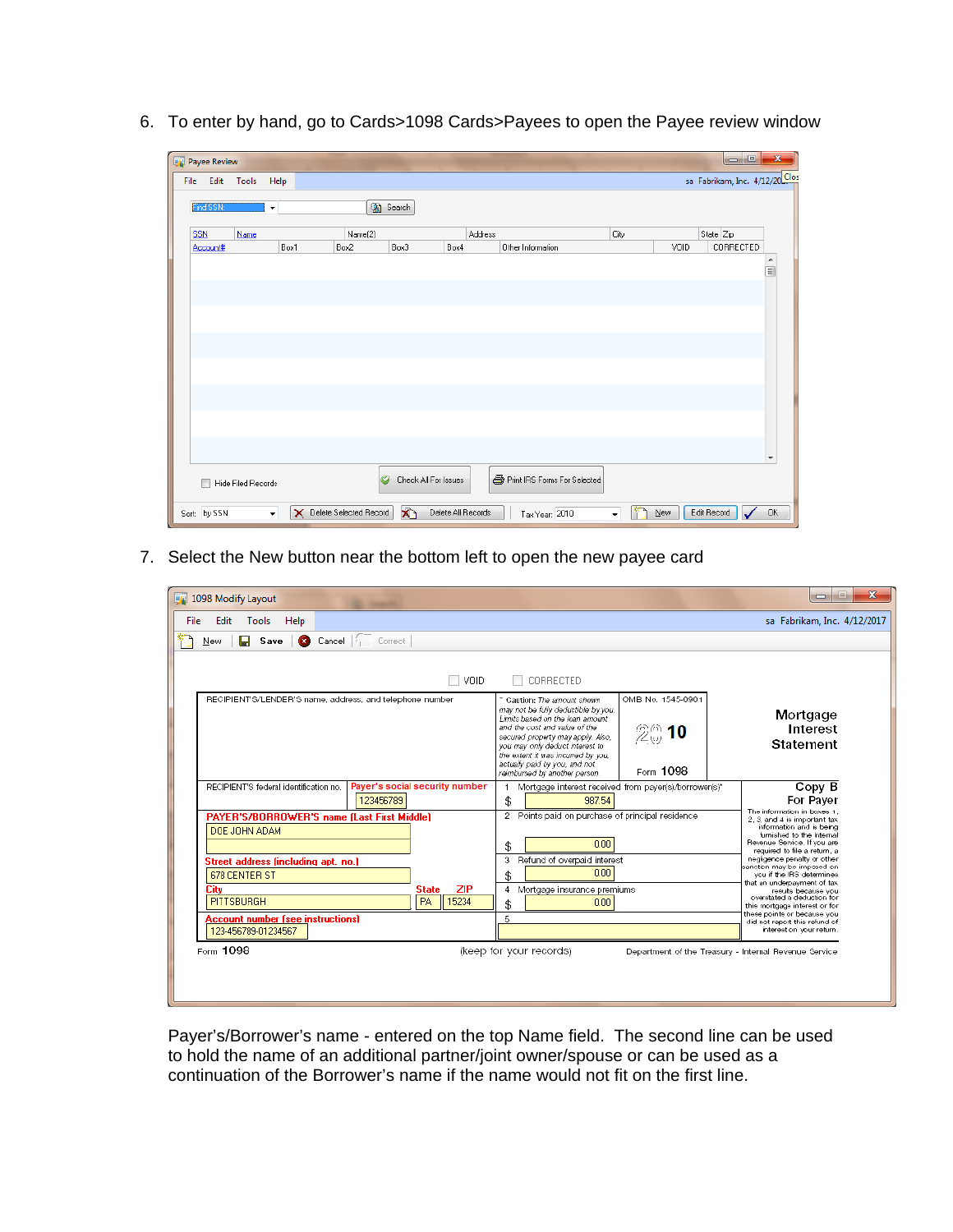6. To enter by hand, go to Cards>1098 Cards>Payees to open the Payee review window

| <b>Payee Review</b> |                           |                      |                          |                           |                    |                              |                      |       | $\Box$<br>$\Box$               | $\mathbf{x}$             |
|---------------------|---------------------------|----------------------|--------------------------|---------------------------|--------------------|------------------------------|----------------------|-------|--------------------------------|--------------------------|
| File                | Edit Tools                | Help                 |                          |                           |                    |                              |                      |       | sa Fabrikam, Inc. 4/12/20 Clos |                          |
| Find SSN:           |                           | $\blacktriangledown$ |                          | Search                    |                    |                              |                      |       |                                |                          |
| <b>SSN</b>          | Name                      |                      | Name[2]                  |                           |                    | Address                      | City                 |       | State Zip                      |                          |
| Account#            |                           | Box1                 | Box2                     | Box3                      | Box4               | Other Information            |                      | VOID  | CORRECTED                      |                          |
|                     |                           |                      |                          |                           |                    |                              |                      |       |                                | ۸<br>$\equiv$            |
|                     |                           |                      |                          |                           |                    |                              |                      |       |                                |                          |
|                     |                           |                      |                          |                           |                    |                              |                      |       |                                |                          |
|                     |                           |                      |                          |                           |                    |                              |                      |       |                                |                          |
|                     |                           |                      |                          |                           |                    |                              |                      |       |                                |                          |
|                     |                           |                      |                          |                           |                    |                              |                      |       |                                |                          |
|                     |                           |                      |                          |                           |                    |                              |                      |       |                                |                          |
|                     |                           |                      |                          |                           |                    |                              |                      |       |                                |                          |
|                     |                           |                      |                          |                           |                    |                              |                      |       |                                |                          |
|                     |                           |                      |                          |                           |                    |                              |                      |       |                                |                          |
|                     |                           |                      |                          |                           |                    |                              |                      |       |                                |                          |
|                     |                           |                      |                          |                           |                    |                              |                      |       |                                |                          |
|                     |                           |                      |                          |                           |                    |                              |                      |       |                                | $\overline{\phantom{a}}$ |
|                     | <b>Hide Filed Records</b> |                      |                          | Ø<br>Check All For Issues |                    | Print IRS Forms For Selected |                      |       |                                |                          |
| Sort: by SSN        |                           | $\bullet$            | X Delete Selected Record | $\mathbf{X}$              | Delete All Records | Tax Year: 2010               | $\blacktriangledown$ | $New$ | Edit Record                    | 0K                       |

7. Select the New button near the bottom left to open the new payee card

| 1098 Modify Layout                                                                                                                                                                                                                                                          |                                                                                                                                                                                                                                                                                                                                                                                                            | $\Box$                                                                                                                                                                                                                                                                                                                                                                                                                                                                                          |
|-----------------------------------------------------------------------------------------------------------------------------------------------------------------------------------------------------------------------------------------------------------------------------|------------------------------------------------------------------------------------------------------------------------------------------------------------------------------------------------------------------------------------------------------------------------------------------------------------------------------------------------------------------------------------------------------------|-------------------------------------------------------------------------------------------------------------------------------------------------------------------------------------------------------------------------------------------------------------------------------------------------------------------------------------------------------------------------------------------------------------------------------------------------------------------------------------------------|
| Edit<br>Help<br>File<br>Tools                                                                                                                                                                                                                                               |                                                                                                                                                                                                                                                                                                                                                                                                            | sa Fabrikam, Inc. 4/12/2017                                                                                                                                                                                                                                                                                                                                                                                                                                                                     |
| Cancel   Correct<br><b>Save</b><br>New                                                                                                                                                                                                                                      |                                                                                                                                                                                                                                                                                                                                                                                                            |                                                                                                                                                                                                                                                                                                                                                                                                                                                                                                 |
| VOID.<br>RECIPIENT'S/LENDER'S name, address, and telephone number                                                                                                                                                                                                           | CORRECTED<br>OMB No. 1545-0901<br>" Caution: The amount shown<br>may not be fully deductible by you.<br>Limits based on the loan amount<br>and the cost and value of the<br>$\mathbb{Z}^{\oplus}_{\omega}$ 10<br>secured property may apply. Also,<br>you may only deduct interest to<br>the extent it was incurred by you.<br>actually paid by you, and not<br>Form 1098<br>reimbursed by another person. | Mortgage<br>Interest<br>Statement                                                                                                                                                                                                                                                                                                                                                                                                                                                               |
| Payer's social security number<br>RECIPIENT'S federal identification no.<br>123456789                                                                                                                                                                                       | Mortgage interest received from payer(s)/borrower(s)*<br>\$<br>987.54                                                                                                                                                                                                                                                                                                                                      | Copy B<br>For Paver                                                                                                                                                                                                                                                                                                                                                                                                                                                                             |
| PAYER'S/BORROWER'S name (Last First Middle)<br>DOE JOHN ADAM<br>Street address (including apt. no.)<br><b>678 CENTER ST</b><br><b>ZIP</b><br><b>State</b><br>City<br>PITTSBURGH<br><b>PA</b><br>   15234<br><b>Account number (see instructions)</b><br>123-456789-01234567 | 2 Points paid on purchase of principal residence<br>0.00<br>\$<br>3 Refund of overpaid interest<br>0.00<br>\$<br>4 Mortgage insurance premiums<br>0.00<br>\$<br>5                                                                                                                                                                                                                                          | The information in boxes 1.<br>2. 3. and 4 is important tax.<br>information and is being<br>furnished to the Internal<br>Revenue Service, If you are<br>required to file a return, a<br>negligence penalty or other<br>sanction may be imposed on<br>you if the IRS determines<br>that an underpayment of tax<br>results because you<br>overstated a deduction for<br>this mortgage interest or for<br>these points or because you<br>did not report this refund of<br>interest on your return. |
| Form 1098                                                                                                                                                                                                                                                                   | (keep for your records)<br>Department of the Treasury - Internal Revenue Service                                                                                                                                                                                                                                                                                                                           |                                                                                                                                                                                                                                                                                                                                                                                                                                                                                                 |

Payer's/Borrower's name - entered on the top Name field. The second line can be used to hold the name of an additional partner/joint owner/spouse or can be used as a continuation of the Borrower's name if the name would not fit on the first line.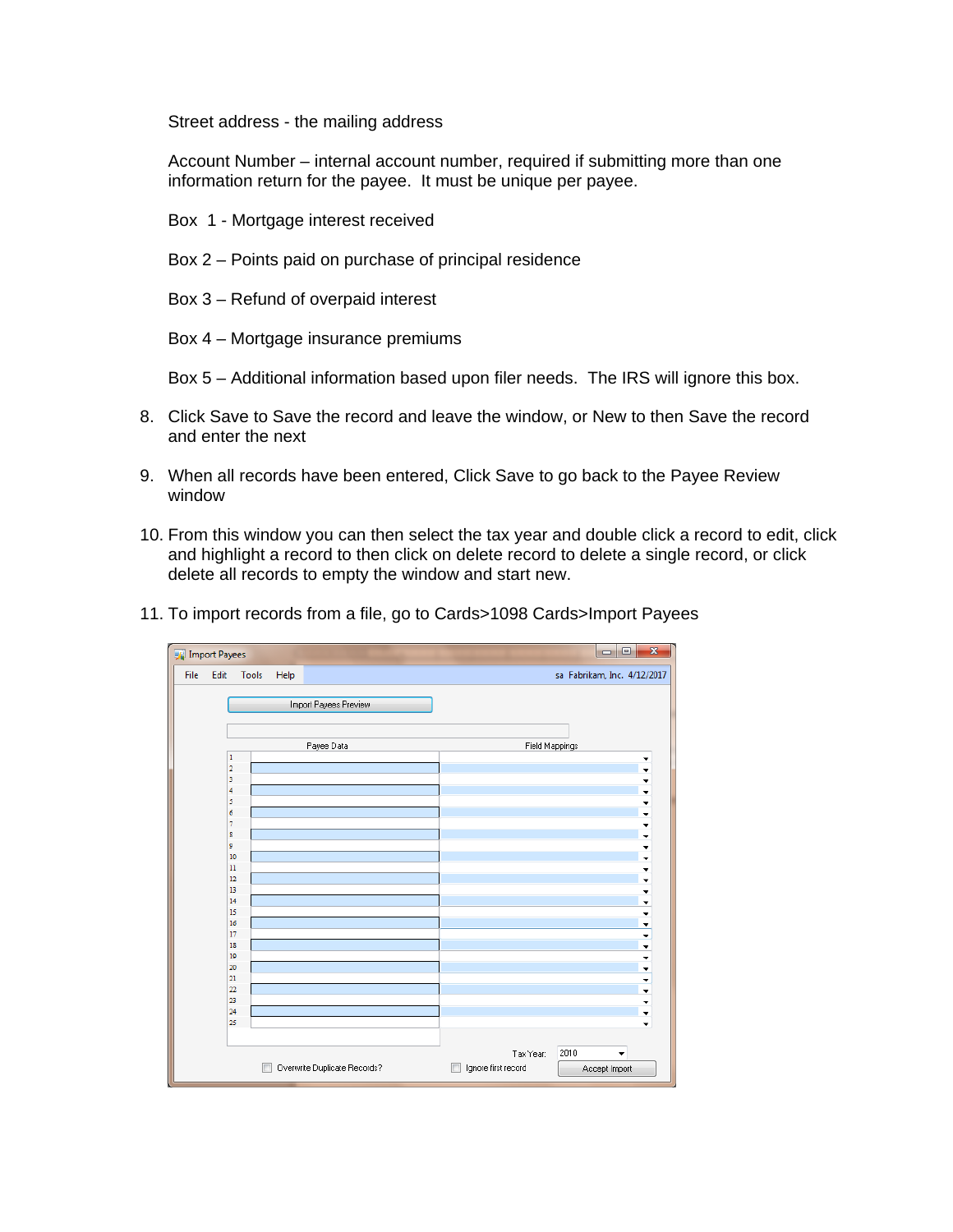Street address - the mailing address

Account Number – internal account number, required if submitting more than one information return for the payee. It must be unique per payee.

- Box 1 Mortgage interest received
- Box 2 Points paid on purchase of principal residence
- Box 3 Refund of overpaid interest
- Box 4 Mortgage insurance premiums
- Box 5 Additional information based upon filer needs. The IRS will ignore this box.
- 8. Click Save to Save the record and leave the window, or New to then Save the record and enter the next
- 9. When all records have been entered, Click Save to go back to the Payee Review window
- 10. From this window you can then select the tax year and double click a record to edit, click and highlight a record to then click on delete record to delete a single record, or click delete all records to empty the window and start new.

| 11. To import records from a file, go to Cards>1098 Cards>Import Payees |  |
|-------------------------------------------------------------------------|--|
|-------------------------------------------------------------------------|--|

| Import Payees |                         |       |      |                              | $\begin{array}{c} \square \end{array}$<br>$\overline{\mathbf{x}}$<br><b>D</b> |
|---------------|-------------------------|-------|------|------------------------------|-------------------------------------------------------------------------------|
| File          | Edit                    | Tools | Help |                              | sa Fabrikam, Inc. 4/12/2017                                                   |
|               |                         |       |      |                              |                                                                               |
|               |                         |       |      | Import Payees Preview        |                                                                               |
|               |                         |       |      |                              |                                                                               |
|               |                         |       |      |                              |                                                                               |
|               |                         |       |      | Payee Data                   | Field Mappings                                                                |
|               | 1                       |       |      |                              | ▼                                                                             |
|               | $\overline{\mathbf{2}}$ |       |      |                              | ÷                                                                             |
|               | 3                       |       |      |                              | ▼                                                                             |
|               | 4                       |       |      |                              | ÷                                                                             |
|               | 5<br>6                  |       |      |                              | ÷                                                                             |
|               | $\overline{7}$          |       |      |                              | ٠                                                                             |
|               | 8                       |       |      |                              | ۰<br>٠                                                                        |
|               | ø                       |       |      |                              | ▼                                                                             |
|               | 10                      |       |      |                              | ٠                                                                             |
|               | $\boxed{11}$            |       |      |                              | ٠                                                                             |
|               | 12                      |       |      |                              | ٠                                                                             |
|               | 13                      |       |      |                              | ۰                                                                             |
|               | 14                      |       |      |                              | ٠                                                                             |
|               | 15                      |       |      |                              | Y                                                                             |
|               | 16                      |       |      |                              | $\overline{\phantom{0}}$                                                      |
|               | 17<br>18                |       |      |                              | $\blacktriangledown$                                                          |
|               | 19                      |       |      |                              | $\blacktriangledown$                                                          |
|               | 20                      |       |      |                              | $\blacktriangledown$<br>$\overline{\phantom{0}}$                              |
|               | 21                      |       |      |                              | $\blacktriangledown$                                                          |
|               | 22                      |       |      |                              | $\overline{\phantom{a}}$                                                      |
|               | 23                      |       |      |                              | ÷                                                                             |
|               | 24                      |       |      |                              | $\overline{\phantom{a}}$                                                      |
|               | 25                      |       |      |                              | ۰                                                                             |
|               |                         |       |      |                              |                                                                               |
|               |                         |       |      |                              | 2010<br>Tax Year:<br>٠                                                        |
|               |                         |       |      | Overwrite Duplicate Records? | Ignore first record<br>Accept Import                                          |
|               |                         |       |      |                              |                                                                               |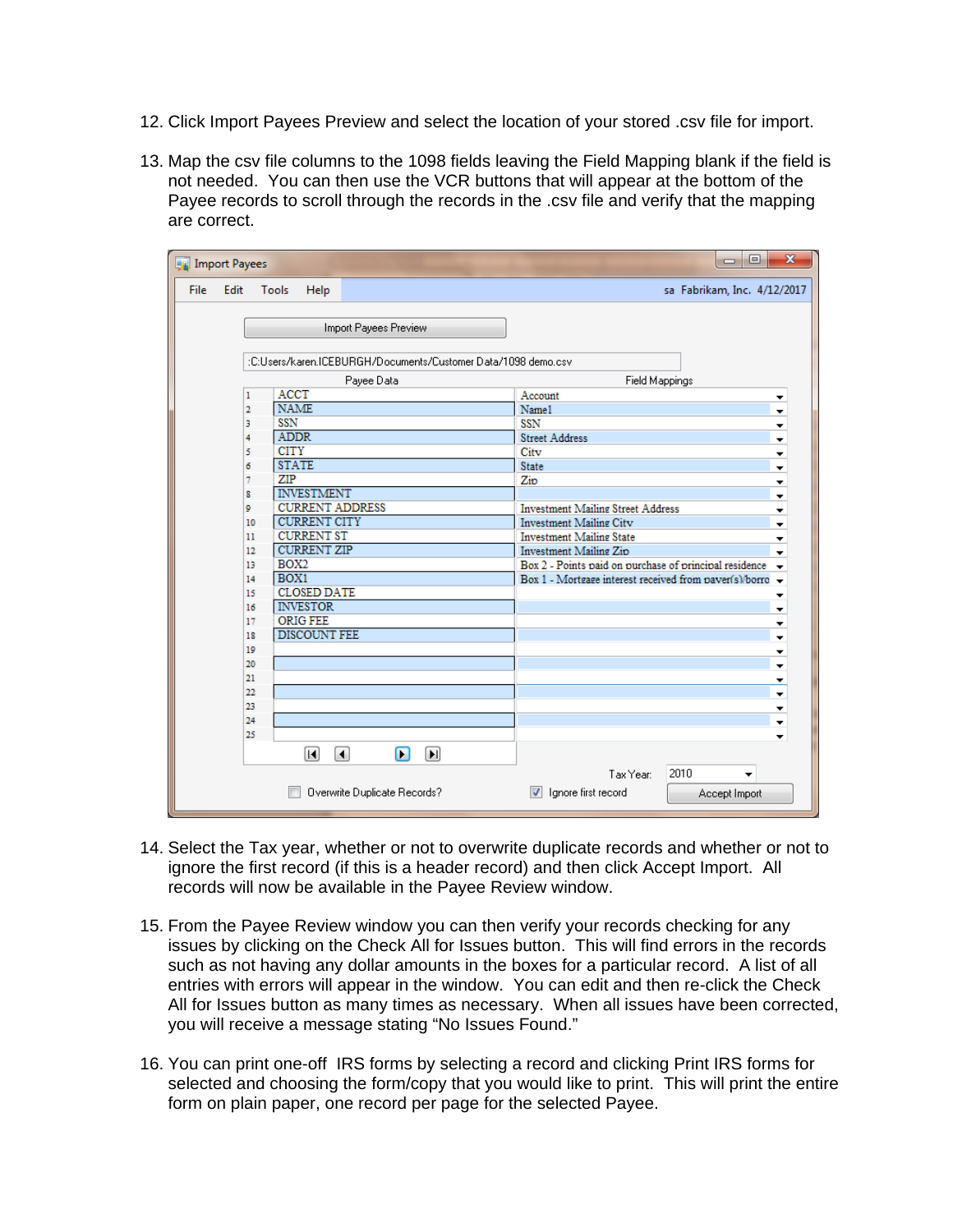- 12. Click Import Payees Preview and select the location of your stored .csv file for import.
- 13. Map the csv file columns to the 1098 fields leaving the Field Mapping blank if the field is not needed. You can then use the VCR buttons that will appear at the bottom of the Payee records to scroll through the records in the .csv file and verify that the mapping are correct.

| Import Payees                                                 |                               |                                                     |                                                                      | $\mathbf{x}$<br>▣<br>$\Box$      |  |  |  |  |  |
|---------------------------------------------------------------|-------------------------------|-----------------------------------------------------|----------------------------------------------------------------------|----------------------------------|--|--|--|--|--|
| <b>File</b><br>Edit                                           | Tools<br>Help                 |                                                     |                                                                      | sa Fabrikam, Inc. 4/12/2017      |  |  |  |  |  |
|                                                               |                               |                                                     |                                                                      |                                  |  |  |  |  |  |
|                                                               |                               | Import Payees Preview                               |                                                                      |                                  |  |  |  |  |  |
|                                                               |                               |                                                     |                                                                      |                                  |  |  |  |  |  |
| :C:Users/karen.ICEBURGH/Documents/Customer Data/1098 demo.csv |                               |                                                     |                                                                      |                                  |  |  |  |  |  |
|                                                               |                               | Payee Data                                          | Field Mappings                                                       |                                  |  |  |  |  |  |
| 1                                                             | <b>ACCT</b>                   |                                                     | Account                                                              | ▼                                |  |  |  |  |  |
| $\overline{2}$                                                | <b>NAME</b>                   |                                                     | Name1                                                                | $\overline{\phantom{a}}$         |  |  |  |  |  |
| 3                                                             | SSN                           |                                                     | SSN                                                                  | ×                                |  |  |  |  |  |
| 4                                                             | <b>ADDR</b>                   |                                                     | <b>Street Address</b>                                                | $\blacktriangledown$             |  |  |  |  |  |
| 5                                                             | <b>CITY</b>                   |                                                     | City                                                                 | $\frac{1}{x}$                    |  |  |  |  |  |
| 6                                                             | <b>STATE</b>                  |                                                     | <b>State</b>                                                         |                                  |  |  |  |  |  |
| 7                                                             | ZIP                           |                                                     | Zip                                                                  | $\overline{\phantom{a}}$         |  |  |  |  |  |
| 8                                                             | <b>INVESTMENT</b>             |                                                     |                                                                      | $\ddot{\phantom{1}}$             |  |  |  |  |  |
| ٥                                                             | <b>CURRENT ADDRESS</b>        |                                                     | <b>Investment Mailing Street Address</b><br>$\overline{\phantom{a}}$ |                                  |  |  |  |  |  |
| 10                                                            | <b>CURRENT CITY</b>           |                                                     | <b>Investment Mailing City</b><br>$\blacktriangledown$               |                                  |  |  |  |  |  |
| 11                                                            | <b>CURRENT ST</b>             |                                                     | <b>Investment Mailing State</b><br>▼                                 |                                  |  |  |  |  |  |
| 12                                                            | <b>CURRENT ZIP</b>            |                                                     | Investment Mailing Zip<br>۰                                          |                                  |  |  |  |  |  |
| 13                                                            | BOX2                          |                                                     | Box 2 - Points paid on purchase of principal residence               | $\overline{\phantom{a}}$         |  |  |  |  |  |
| 14                                                            | BOX1                          |                                                     | Box 1 - Mortgage interest received from paver(s)/borro -             |                                  |  |  |  |  |  |
| 15                                                            | <b>CLOSED DATE</b>            |                                                     |                                                                      | ▼                                |  |  |  |  |  |
| 16                                                            | <b>INVESTOR</b>               |                                                     |                                                                      | ۰                                |  |  |  |  |  |
| 17                                                            | <b>ORIG FEE</b>               |                                                     |                                                                      | ▼                                |  |  |  |  |  |
| 18                                                            | <b>DISCOUNT FEE</b>           |                                                     |                                                                      | $\overline{\phantom{a}}$         |  |  |  |  |  |
| 19                                                            |                               |                                                     |                                                                      | ▼                                |  |  |  |  |  |
| 20                                                            |                               |                                                     |                                                                      | ٠                                |  |  |  |  |  |
| 21                                                            |                               |                                                     |                                                                      | ▼                                |  |  |  |  |  |
| $\overline{22}$                                               |                               |                                                     |                                                                      | $\ddot{}$                        |  |  |  |  |  |
| 23                                                            |                               |                                                     |                                                                      | Y                                |  |  |  |  |  |
| 24                                                            |                               |                                                     |                                                                      | ٠                                |  |  |  |  |  |
| 25                                                            |                               |                                                     |                                                                      | $\overline{\phantom{a}}$         |  |  |  |  |  |
|                                                               | $\left[ \blacksquare \right]$ | П<br>$\left[ \blacksquare \right]$<br>$\vert \vert$ |                                                                      |                                  |  |  |  |  |  |
|                                                               |                               |                                                     | Tax Year:                                                            | 2010<br>$\overline{\phantom{a}}$ |  |  |  |  |  |
|                                                               |                               | Overwrite Duplicate Records?                        | lanore first record<br>⊽                                             | Accept Import                    |  |  |  |  |  |

- 14. Select the Tax year, whether or not to overwrite duplicate records and whether or not to ignore the first record (if this is a header record) and then click Accept Import. All records will now be available in the Payee Review window.
- 15. From the Payee Review window you can then verify your records checking for any issues by clicking on the Check All for Issues button. This will find errors in the records such as not having any dollar amounts in the boxes for a particular record. A list of all entries with errors will appear in the window. You can edit and then re-click the Check All for Issues button as many times as necessary. When all issues have been corrected, you will receive a message stating "No Issues Found."
- 16. You can print one-off IRS forms by selecting a record and clicking Print IRS forms for selected and choosing the form/copy that you would like to print. This will print the entire form on plain paper, one record per page for the selected Payee.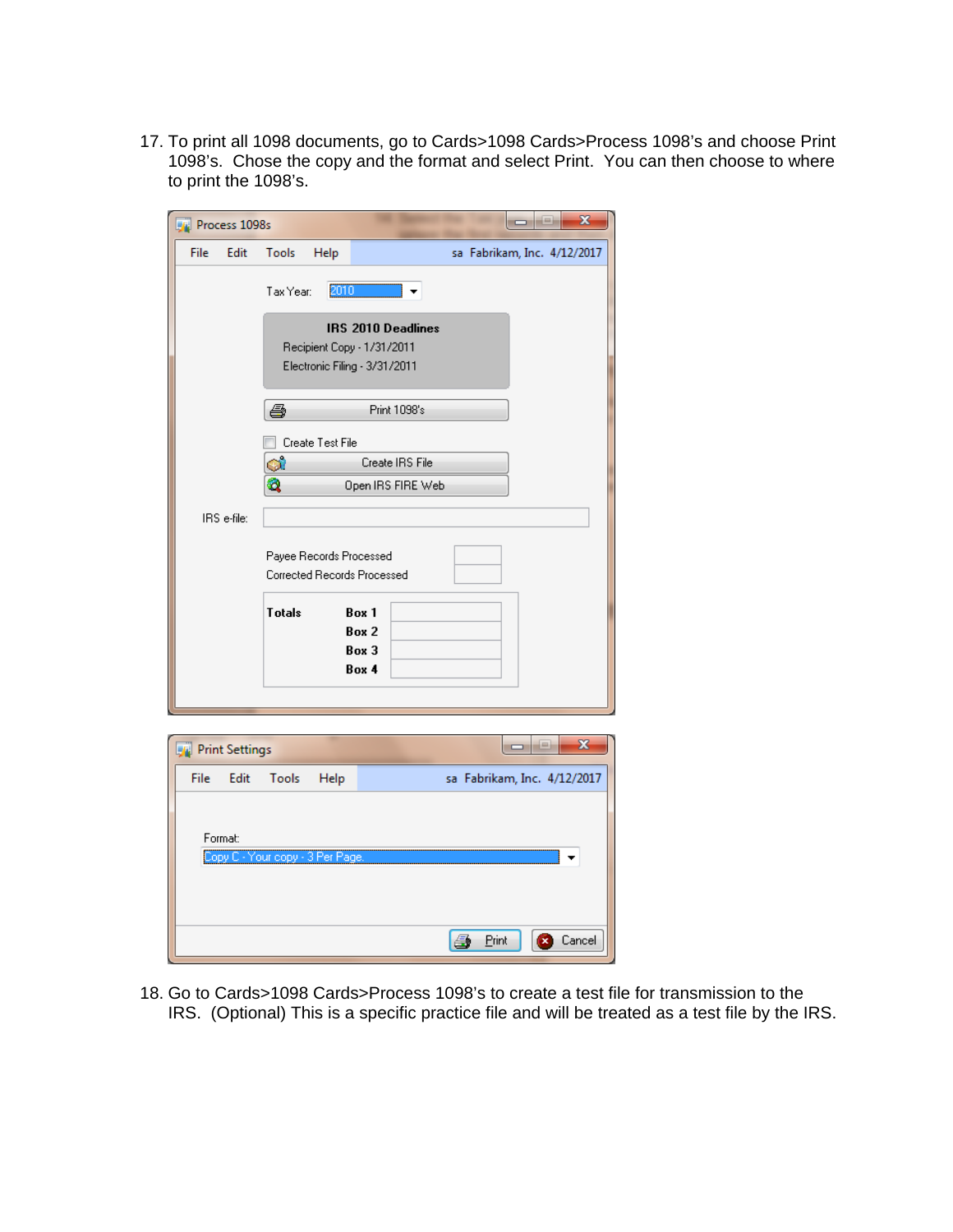17. To print all 1098 documents, go to Cards>1098 Cards>Process 1098's and choose Print 1098's. Chose the copy and the format and select Print. You can then choose to where to print the 1098's.

| <b>Process 1098s</b>  |             |                                  |                                                                                   | $\mathbf{x}$<br>--          |
|-----------------------|-------------|----------------------------------|-----------------------------------------------------------------------------------|-----------------------------|
| File                  | Edit        | Tools<br>Help                    |                                                                                   | sa Fabrikam, Inc. 4/12/2017 |
|                       |             | Tax Year:                        | 2010                                                                              |                             |
|                       |             |                                  | IRS 2010 Deadlines<br>Recipient Copy - 1/31/2011<br>Electronic Filing - 3/31/2011 |                             |
|                       |             | ê,                               | Print 1098's                                                                      |                             |
|                       |             | Create Test File                 |                                                                                   |                             |
|                       |             | ۵ì                               | Create IRS File                                                                   |                             |
|                       |             | Q                                | Open IRS FIRE Web                                                                 |                             |
|                       | IRS e-file: |                                  |                                                                                   |                             |
|                       |             |                                  | Payee Records Processed<br>Corrected Records Processed                            |                             |
|                       |             | <b>Totals</b>                    | Box 1<br>Box 2<br>Box 3<br>Box 4                                                  |                             |
|                       |             |                                  |                                                                                   |                             |
|                       |             |                                  |                                                                                   | $\mathbf{x}$<br>÷           |
| <b>Print Settings</b> |             |                                  |                                                                                   | 0                           |
| <b>File</b>           | Edit        | Tools                            | Help                                                                              | sa Fabrikam, Inc. 4/12/2017 |
|                       | Format:     | Copy C - Your copy - 3 Per Page. |                                                                                   |                             |

18. Go to Cards>1098 Cards>Process 1098's to create a test file for transmission to the IRS. (Optional) This is a specific practice file and will be treated as a test file by the IRS.

**4** Print

Cancel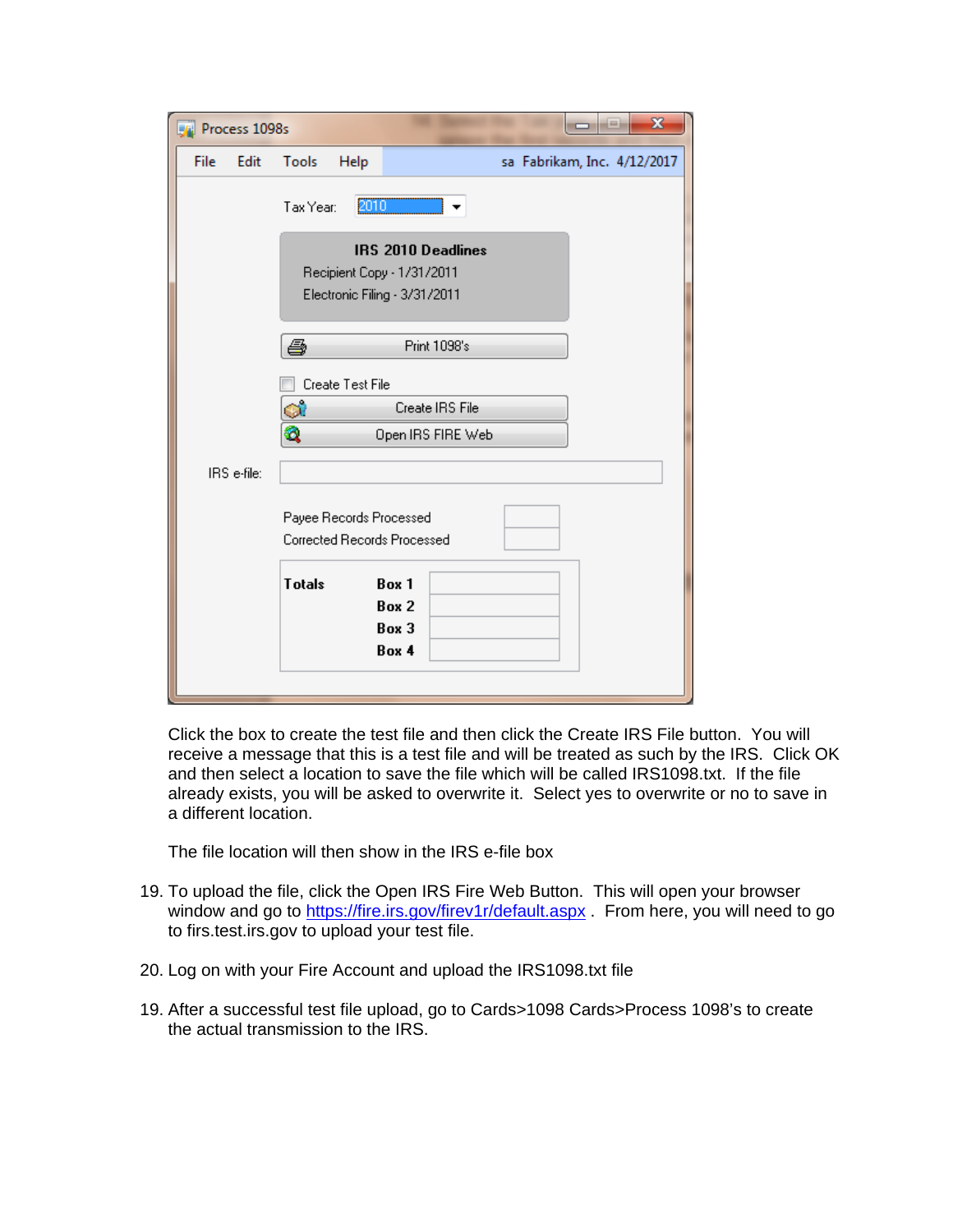| Process 1098s |                         |                                                                                          | $\overline{\mathbf{x}}$     |
|---------------|-------------------------|------------------------------------------------------------------------------------------|-----------------------------|
| File<br>Edit  | Tools<br>Help           |                                                                                          | sa Fabrikam, Inc. 4/12/2017 |
|               | Tax Year:               | 2010                                                                                     |                             |
|               |                         | <b>IRS 2010 Deadlines</b><br>Recipient Copy - 1/31/2011<br>Electronic Filing - 3/31/2011 |                             |
|               | ê                       | Print 1098's                                                                             |                             |
|               | Create Test File        |                                                                                          |                             |
|               | ۵ì                      | Create IRS File                                                                          |                             |
|               | Q                       | Open IRS FIRE Web                                                                        |                             |
| IRS e-file:   |                         |                                                                                          |                             |
|               | Payee Records Processed | <b>Corrected Records Processed</b>                                                       |                             |
|               | <b>Totals</b>           | Box 1<br>Box 2<br>Box 3<br>Box 4                                                         |                             |
|               |                         |                                                                                          |                             |

Click the box to create the test file and then click the Create IRS File button. You will receive a message that this is a test file and will be treated as such by the IRS. Click OK and then select a location to save the file which will be called IRS1098.txt. If the file already exists, you will be asked to overwrite it. Select yes to overwrite or no to save in a different location.

The file location will then show in the IRS e-file box

- 19. To upload the file, click the Open IRS Fire Web Button. This will open your browser window and go to https://fire.irs.gov/firev1r/default.aspx . From here, you will need to go to firs.test.irs.gov to upload your test file.
- 20. Log on with your Fire Account and upload the IRS1098.txt file
- 19. After a successful test file upload, go to Cards>1098 Cards>Process 1098's to create the actual transmission to the IRS.